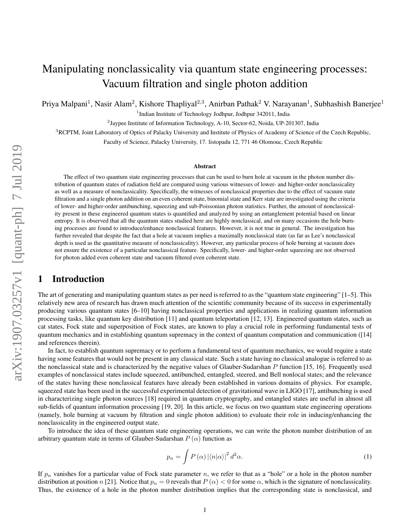# Manipulating nonclassicality via quantum state engineering processes: Vacuum filtration and single photon addition

Priya Malpani<sup>1</sup>, Nasir Alam<sup>2</sup>, Kishore Thapliyal<sup>2,3</sup>, Anirban Pathak<sup>2</sup> V. Narayanan<sup>1</sup>, Subhashish Banerjee<sup>1</sup>

<sup>1</sup>Indian Institute of Technology Jodhpur, Jodhpur 342011, India

<sup>2</sup>Jaypee Institute of Information Technology, A-10, Sector-62, Noida, UP-201307, India

<sup>3</sup>RCPTM, Joint Laboratory of Optics of Palacky University and Institute of Physics of Academy of Science of the Czech Republic,

Faculty of Science, Palacky University, 17. listopadu 12, 771 46 Olomouc, Czech Republic

#### Abstract

The effect of two quantum state engineering processes that can be used to burn hole at vacuum in the photon number distribution of quantum states of radiation field are compared using various witnesses of lower- and higher-order nonclassicality as well as a measure of nonclassicality. Specifically, the witnesses of nonclassical properties due to the effect of vacuum state filtration and a single photon addition on an even coherent state, binomial state and Kerr state are investigated using the criteria of lower- and higher-order antibunching, squeezing and sub-Poissonian photon statistics. Further, the amount of nonclassicality present in these engineered quantum states is quantified and analyzed by using an entanglement potential based on linear entropy. It is observed that all the quantum states studied here are highly nonclassical, and on many occasions the hole burning processes are found to introduce/enhance nonclassical features. However, it is not true in general. The investigation has further revealed that despite the fact that a hole at vacuum implies a maximally nonclassical state (as far as Lee's nonclassical depth is used as the quantitative measure of nonclassicality). However, any particular process of hole burning at vacuum does not ensure the existence of a particular nonclassical feature. Specifically, lower- and higher-order squeezing are not observed for photon added even coherent state and vacuum filtered even coherent state.

# 1 Introduction

The art of generating and manipulating quantum states as per need is referred to as the "quantum state engineering" [1–5]. This relatively new area of research has drawn much attention of the scientific community because of its success in experimentally producing various quantum states [6–10] having nonclassical properties and applications in realizing quantum information processing tasks, like quantum key distribution [11] and quantum teleportation [12, 13]. Engineered quantum states, such as cat states, Fock state and superposition of Fock states, are known to play a crucial role in performing fundamental tests of quantum mechanics and in establishing quantum supremacy in the context of quantum computation and communication ([14] and references therein).

In fact, to establish quantum supremacy or to perform a fundamental test of quantum mechanics, we would require a state having some features that would not be present in any classical state. Such a state having no classical analogue is referred to as the nonclassical state and is characterized by the negative values of Glauber-Sudarshan  $P$  function [15, 16]. Frequently used examples of nonclassical states include squeezed, antibunched, entangled, steered, and Bell nonlocal states; and the relevance of the states having these nonclassical features have already been established in various domains of physics. For example, squeezed state has been used in the successful experimental detection of gravitational wave in LIGO [17], antibunching is used in characterizing single photon sources [18] required in quantum cryptography, and entangled states are useful in almost all sub-fields of quantum information processing [19, 20]. In this article, we focus on two quantum state engineering operations (namely, hole burning at vacuum by filtration and single photon addition) to evaluate their role in inducing/enhancing the nonclassicality in the engineered output state.

To introduce the idea of these quantum state engineering operations, we can write the photon number distribution of an arbitrary quantum state in terms of Glauber-Sudarshan  $P(\alpha)$  function as

$$
p_n = \int P(\alpha) |\langle n | \alpha \rangle|^2 d^2 \alpha. \tag{1}
$$

If  $p_n$  vanishes for a particular value of Fock state parameter n, we refer to that as a "hole" or a hole in the photon number distribution at position n [21]. Notice that  $p_n = 0$  reveals that  $P(\alpha) < 0$  for some  $\alpha$ , which is the signature of nonclassicality. Thus, the existence of a hole in the photon number distribution implies that the corresponding state is nonclassical, and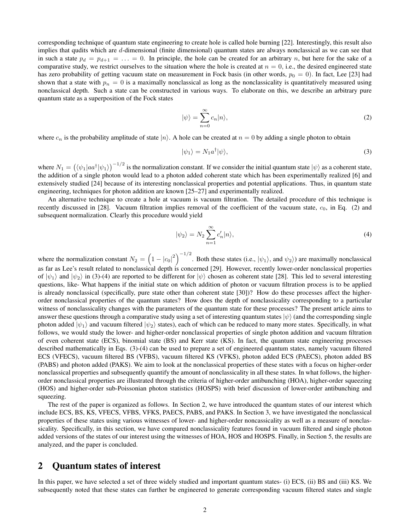corresponding technique of quantum state engineering to create hole is called hole burning [22]. Interestingly, this result also implies that qudits which are d-dimensional (finite dimensional) quantum states are always nonclassical as we can see that in such a state  $p_d = p_{d+1} = ... = 0$ . In principle, the hole can be created for an arbitrary n, but here for the sake of a comparative study, we restrict ourselves to the situation where the hole is created at  $n = 0$ , i.e., the desired engineered state has zero probability of getting vacuum state on measurement in Fock basis (in other words,  $p_0 = 0$ ). In fact, Lee [23] had shown that a state with  $p_n = 0$  is a maximally nonclassical as long as the nonclassicality is quantitatively measured using nonclassical depth. Such a state can be constructed in various ways. To elaborate on this, we describe an arbitrary pure quantum state as a superposition of the Fock states

$$
|\psi\rangle = \sum_{n=0}^{\infty} c_n |n\rangle,\tag{2}
$$

where  $c_n$  is the probability amplitude of state  $|n\rangle$ . A hole can be created at  $n = 0$  by adding a single photon to obtain

$$
|\psi_1\rangle = N_1 a^\dagger |\psi\rangle,\tag{3}
$$

where  $N_1 = (\langle \psi_1 | aa^{\dagger} | \psi_1 \rangle)^{-1/2}$  is the normalization constant. If we consider the initial quantum state  $| \psi \rangle$  as a coherent state, the addition of a single photon would lead to a photon added coherent state which has been experimentally realized [6] and extensively studied [24] because of its interesting nonclassical properties and potential applications. Thus, in quantum state engineering, techniques for photon addition are known [25–27] and experimentally realized.

An alternative technique to create a hole at vacuum is vacuum filtration. The detailed procedure of this technique is recently discussed in [28]. Vacuum filtration implies removal of the coefficient of the vacuum state,  $c_0$ , in Eq. (2) and subsequent normalization. Clearly this procedure would yield

$$
|\psi_2\rangle = N_2 \sum_{n=1}^{\infty} c'_n |n\rangle,\tag{4}
$$

where the normalization constant  $N_2 = \left(1 - |c_0|^2\right)^{-1/2}$ . Both these states (i.e.,  $|\psi_1\rangle$ , and  $\psi_2\rangle$ ) are maximally nonclassical as far as Lee's result related to nonclassical depth is concerned [29]. However, recently lower-order nonclassical properties of  $|\psi_1\rangle$  and  $|\psi_2\rangle$  in (3)-(4) are reported to be different for  $|\psi\rangle$  chosen as coherent state [28]. This led to several interesting questions, like- What happens if the initial state on which addition of photon or vacuum filtration process is to be applied is already nonclassical (specifically, pure state other than coherent state [30])? How do these processes affect the higherorder nonclassical properties of the quantum states? How does the depth of nonclassicality corresponding to a particular witness of nonclassicality changes with the parameters of the quantum state for these processes? The present article aims to answer these questions through a comparative study using a set of interesting quantum states  $|\psi\rangle$  (and the corresponding single photon added  $|\psi_1\rangle$  and vacuum filtered  $|\psi_2\rangle$  states), each of which can be reduced to many more states. Specifically, in what follows, we would study the lower- and higher-order nonclassical properties of single photon addition and vacuum filtration of even coherent state (ECS), binomial state (BS) and Kerr state (KS). In fact, the quantum state engineering processes described mathematically in Eqs. (3)-(4) can be used to prepare a set of engineered quantum states, namely vacuum filtered ECS (VFECS), vacuum filtered BS (VFBS), vacuum filtered KS (VFKS), photon added ECS (PAECS), photon added BS (PABS) and photon added (PAKS). We aim to look at the nonclassical properties of these states with a focus on higher-order nonclassical properties and subsequently quantify the amount of nonclassicality in all these states. In what follows, the higherorder nonclassical properties are illustrated through the criteria of higher-order antibunching (HOA), higher-order squeezing (HOS) and higher-order sub-Poissonian photon statistics (HOSPS) with brief discussion of lower-order antibunching and squeezing.

The rest of the paper is organized as follows. In Section 2, we have introduced the quantum states of our interest which include ECS, BS, KS, VFECS, VFBS, VFKS, PAECS, PABS, and PAKS. In Section 3, we have investigated the nonclassical properties of these states using various witnesses of lower- and higher-order noncassicality as well as a measure of nonclassicality. Specifically, in this section, we have compared nonclassicality features found in vacuum filtered and single photon added versions of the states of our interest using the witnesses of HOA, HOS and HOSPS. Finally, in Section 5, the results are analyzed, and the paper is concluded.

## 2 Quantum states of interest

In this paper, we have selected a set of three widely studied and important quantum states- (i) ECS, (ii) BS and (iii) KS. We subsequently noted that these states can further be engineered to generate corresponding vacuum filtered states and single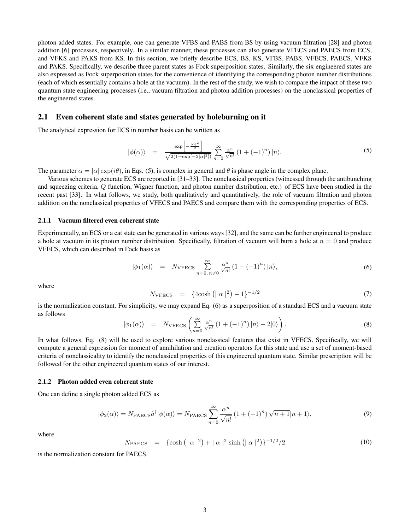photon added states. For example, one can generate VFBS and PABS from BS by using vacuum filtration [28] and photon addition [6] processes, respectively. In a similar manner, these processes can also generate VFECS and PAECS from ECS, and VFKS and PAKS from KS. In this section, we briefly describe ECS, BS, KS, VFBS, PABS, VFECS, PAECS, VFKS and PAKS. Specifically, we describe three parent states as Fock superposition states. Similarly, the six engineered states are also expressed as Fock superposition states for the convenience of identifying the corresponding photon number distributions (each of which essentially contains a hole at the vacuum). In the rest of the study, we wish to compare the impact of these two quantum state engineering processes (i.e., vacuum filtration and photon addition processes) on the nonclassical properties of the engineered states.

#### 2.1 Even coherent state and states generated by holeburning on it

The analytical expression for ECS in number basis can be written as

$$
|\phi(\alpha)\rangle = \frac{\exp\left[-\frac{|\alpha|^2}{2}\right]}{\sqrt{2(1+\exp[-2|\alpha|^2])}} \sum_{n=0}^{\infty} \frac{\alpha^n}{\sqrt{n!}} \left(1 + (-1)^n\right)|n\rangle.
$$
 (5)

The parameter  $\alpha = |\alpha| \exp(i\theta)$ , in Eqs. (5), is complex in general and  $\theta$  is phase angle in the complex plane.

Various schemes to generate ECS are reported in [31–33]. The nonclassical properties (witnessed through the antibunching and squeezing criteria, Q function, Wigner function, and photon number distribution, etc.) of ECS have been studied in the recent past [33]. In what follows, we study, both qualitatively and quantitatively, the role of vacuum filtration and photon addition on the nonclassical properties of VFECS and PAECS and compare them with the corresponding properties of ECS.

#### 2.1.1 Vacuum filtered even coherent state

Experimentally, an ECS or a cat state can be generated in various ways [32], and the same can be further engineered to produce a hole at vacuum in its photon number distribution. Specifically, filtration of vacuum will burn a hole at  $n = 0$  and produce VFECS, which can described in Fock basis as

$$
|\phi_1(\alpha)\rangle = N_{\text{VFECS}} \sum_{n=0, n \neq 0}^{\infty} \frac{\alpha^n}{\sqrt{n!}} \left(1 + (-1)^n\right) |n\rangle,\tag{6}
$$

where

$$
N_{\text{VFECS}} = \{4 \cosh\left(|\alpha|^2\right) - 1\}^{-1/2} \tag{7}
$$

is the normalization constant. For simplicity, we may expand Eq. (6) as a superposition of a standard ECS and a vacuum state as follows

$$
|\phi_1(\alpha)\rangle = N_{\text{VFECS}}\left(\sum_{n=0}^{\infty} \frac{\alpha^n}{\sqrt{n!}} \left(1 + (-1)^n\right) |n\rangle - 2|0\rangle\right). \tag{8}
$$

In what follows, Eq. (8) will be used to explore various nonclassical features that exist in VFECS. Specifically, we will compute a general expression for moment of annihilation and creation operators for this state and use a set of moment-based criteria of nonclassicality to identify the nonclassical properties of this engineered quantum state. Similar prescription will be followed for the other engineered quantum states of our interest.

#### 2.1.2 Photon added even coherent state

One can define a single photon added ECS as

$$
|\phi_2(\alpha)\rangle = N_{\text{PAECS}}\hat{a}^\dagger|\phi(\alpha)\rangle = N_{\text{PAECS}}\sum_{n=0}^{\infty} \frac{\alpha^n}{\sqrt{n!}}\left(1 + (-1)^n\right)\sqrt{n+1}|n+1\rangle,\tag{9}
$$

where

$$
N_{\text{PAECS}} = \{ \cosh\left(|\alpha|^2\right) + |\alpha|^2 \sinh\left(|\alpha|^2\right) \}^{-1/2} / 2 \tag{10}
$$

is the normalization constant for PAECS.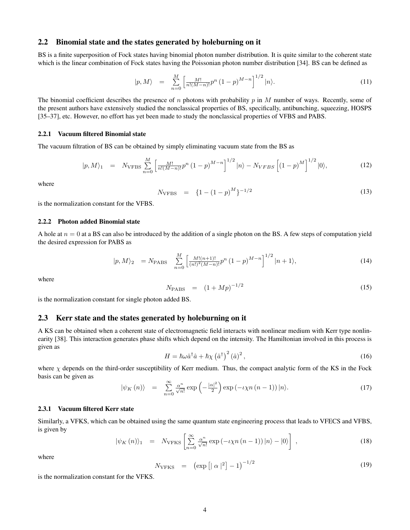### 2.2 Binomial state and the states generated by holeburning on it

BS is a finite superposition of Fock states having binomial photon number distribution. It is quite similar to the coherent state which is the linear combination of Fock states having the Poissonian photon number distribution [34]. BS can be defined as

$$
|p,M\rangle = \sum_{n=0}^{M} \left[ \frac{M!}{n!(M-n)!} p^n (1-p)^{M-n} \right]^{1/2} |n\rangle.
$$
 (11)

The binomial coefficient describes the presence of n photons with probability p in M number of ways. Recently, some of the present authors have extensively studied the nonclassical properties of BS, specifically, antibunching, squeezing, HOSPS [35–37], etc. However, no effort has yet been made to study the nonclassical properties of VFBS and PABS.

#### 2.2.1 Vacuum filtered Binomial state

The vacuum filtration of BS can be obtained by simply eliminating vacuum state from the BS as

$$
|p, M\rangle_1 = N_{\text{VFBS}} \sum_{n=0}^{M} \left[ \frac{M!}{n!(M-n)!} p^n (1-p)^{M-n} \right]^{1/2} |n\rangle - N_{VFBS} \left[ (1-p)^M \right]^{1/2} |0\rangle, \tag{12}
$$

where

$$
N_{\text{VFBS}} = \{1 - (1 - p)^M\}^{-1/2} \tag{13}
$$

is the normalization constant for the VFBS.

### 2.2.2 Photon added Binomial state

A hole at  $n = 0$  at a BS can also be introduced by the addition of a single photon on the BS. A few steps of computation yield the desired expression for PABS as

$$
|p, M\rangle_2 = N_{\text{PABS}} \sum_{n=0}^{M} \left[ \frac{M!(n+1)!}{(n!)^2 (M-n)!} p^n (1-p)^{M-n} \right]^{1/2} |n+1\rangle, \tag{14}
$$

where

$$
N_{\rm PABS} = (1 + Mp)^{-1/2} \tag{15}
$$

is the normalization constant for single photon added BS.

### 2.3 Kerr state and the states generated by holeburning on it

A KS can be obtained when a coherent state of electromagnetic field interacts with nonlinear medium with Kerr type nonlinearity [38]. This interaction generates phase shifts which depend on the intensity. The Hamiltonian involved in this process is given as

$$
H = \hbar\omega\hat{a}^\dagger\hat{a} + \hbar\chi\left(\hat{a}^\dagger\right)^2\left(\hat{a}\right)^2,\tag{16}
$$

where  $\chi$  depends on the third-order susceptibility of Kerr medium. Thus, the compact analytic form of the KS in the Fock basis can be given as

$$
|\psi_K(n)\rangle = \sum_{n=0}^{\infty} \frac{\alpha^n}{\sqrt{n!}} \exp\left(-\frac{|\alpha|^2}{2}\right) \exp\left(-\iota\chi n\left(n-1\right)\right)|n\rangle. \tag{17}
$$

### 2.3.1 Vacuum filtered Kerr state

Similarly, a VFKS, which can be obtained using the same quantum state engineering process that leads to VFECS and VFBS, is given by

$$
|\psi_K(n)\rangle_1 = N_{\text{VFKS}}\left[\sum_{n=0}^{\infty} \frac{\alpha^n}{\sqrt{n!}} \exp\left(-\iota \chi n\left(n-1\right)\right)|n\rangle - |0\rangle\right],\tag{18}
$$

where

$$
N_{\text{VFKS}} = (\exp\left[|\alpha|^2\right] - 1)^{-1/2} \tag{19}
$$

is the normalization constant for the VFKS.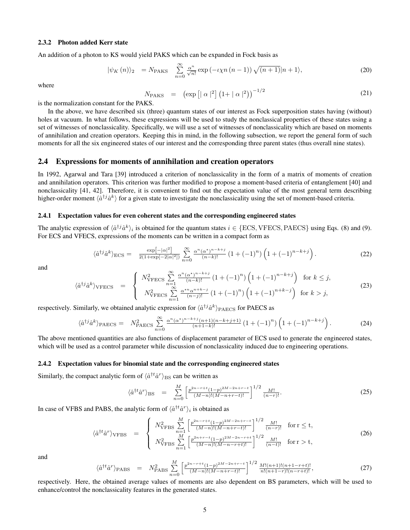#### 2.3.2 Photon added Kerr state

An addition of a photon to KS would yield PAKS which can be expanded in Fock basis as

$$
|\psi_K(n)\rangle_2 = N_{\text{PAKS}} \sum_{n=0}^{\infty} \frac{\alpha^n}{\sqrt{n!}} \exp\left(-\iota \chi n\left(n-1\right)\right) \sqrt{\left(n+1\right)} |n+1\rangle,\tag{20}
$$

where

$$
N_{\text{PAKS}} = (\exp\left[\left|\alpha\right|^2\right] \left(1 + \left|\alpha\right|^2\right)\right)^{-1/2} \tag{21}
$$

is the normalization constant for the PAKS.

In the above, we have described six (three) quantum states of our interest as Fock superposition states having (without) holes at vacuum. In what follows, these expressions will be used to study the nonclassical properties of these states using a set of witnesses of nonclassicality. Specifically, we will use a set of witnesses of nonclassicality which are based on moments of annihilation and creation operators. Keeping this in mind, in the following subsection, we report the general form of such moments for all the six engineered states of our interest and the corresponding three parent states (thus overall nine states).

### 2.4 Expressions for moments of annihilation and creation operators

In 1992, Agarwal and Tara [39] introduced a criterion of nonclassicality in the form of a matrix of moments of creation and annihilation operators. This criterion was further modified to propose a moment-based criteria of entanglement [40] and nonclassicality [41, 42]. Therefore, it is convenient to find out the expectation value of the most general term describing higher-order moment  $\langle \hat{a}^{\dagger j} \hat{a}^k \rangle$  for a given state to investigate the nonclassicality using the set of moment-based criteria.

#### 2.4.1 Expectation values for even coherent states and the corresponding engineered states

The analytic expression of  $\langle \hat{a}^{\dagger j} \hat{a}^k \rangle_i$  is obtained for the quantum states  $i \in \{ECS, VFECS, PAECS\}$  using Eqs. (8) and (9). For ECS and VFECS, expressions of the moments can be written in a compact form as

$$
\langle \hat{a}^{\dagger j} \hat{a}^k \rangle_{\text{ECS}} = \frac{\exp[-|\alpha|^2]}{2(1+\exp[-2|\alpha|^2])} \sum_{n=0}^{\infty} \frac{\alpha^n (\alpha^*)^{n-k+j}}{(n-k)!} \left(1 + (-1)^n\right) \left(1 + (-1)^{n-k+j}\right). \tag{22}
$$

and

$$
\langle \hat{a}^{\dagger j} \hat{a}^{k} \rangle_{\text{VFECS}} = \begin{cases} N_{\text{VFECS}}^{2} \sum_{n=1}^{\infty} \frac{\alpha^{n} (\alpha^{*})^{n-k+j}}{(n-k)!} \left(1 + (-1)^{n}\right) \left(1 + (-1)^{n-k+j}\right) & \text{for } k \leq j, \\ \sum_{n=1}^{\infty} \alpha^{*n} \alpha^{n+k-j} & \text{for } k \leq j, \end{cases}
$$
(23)

$$
N_{\text{VFECS}}^2 - N_{\text{VFECS}}^2 \sum_{n=1}^{\infty} \frac{\alpha^{*n} \alpha^{n+k-j}}{(n-j)!} \left(1 + (-1)^n\right) \left(1 + (-1)^{n+k-j}\right) \text{ for } k > j,
$$

respectively. Similarly, we obtained analytic expression for  $\langle \hat{a}^{\dagger j} \hat{a}^k \rangle_{\rm PAECS}$  for PAECS as

$$
\langle \hat{a}^{\dagger j} \hat{a}^{k} \rangle_{\text{PAECS}} = N_{\text{PAECS}}^{2} \sum_{n=0}^{\infty} \frac{\alpha^{n} (\alpha^{*})^{n-k+j} (n+1)(n-k+j+1)}{(n+1-k)!} \left(1 + (-1)^{n}\right) \left(1 + (-1)^{n-k+j}\right). \tag{24}
$$

The above mentioned quantities are also functions of displacement parameter of ECS used to generate the engineered states, which will be used as a control parameter while discussion of nonclassicality induced due to engineering operations.

#### 2.4.2 Expectation values for binomial state and the corresponding engineered states

Similarly, the compact analytic form of  $\langle \hat{a}^{\dagger t} \hat{a}^r \rangle_{\text{BS}}$  can be written as

$$
\langle \hat{a}^{\dagger t} \hat{a}^r \rangle_{\text{BS}} = \sum_{n=0}^{M} \left[ \frac{p^{2n-r+t} (1-p)^{2M-2n+r-t}}{(M-n)!(M-n+r-t)!} \right]^{1/2} \frac{M!}{(n-r)!}.
$$
 (25)

In case of VFBS and PABS, the analytic form of  $\langle \hat{a}^{\dagger t} \hat{a}^r \rangle_i$  is obtained as

$$
\langle \hat{a}^{\dagger t} \hat{a}^{r} \rangle_{\text{VFBS}} = \begin{cases} N_{\text{VFBS}}^{2} \sum_{n=1}^{M} \left[ \frac{p^{2n-r+t}(1-p)^{2M-2n+r-t}}{(M-n)!(M-n+r-t)!} \right]^{1/2} \frac{M!}{(n-r)!} & \text{for } r \leq t, \\ N_{\text{VFBS}}^{2} \sum_{n=1}^{M} \left[ \frac{p^{2n+r-t}(1-p)^{2M-2n-r+t}}{(M-n)!(M-n-r+t)!} \right]^{1/2} \frac{M!}{(n-t)!} & \text{for } r > t, \end{cases}
$$
(26)

and

$$
\langle \hat{a}^{\dagger t} \hat{a}^r \rangle_{\text{PABS}} = N_{\text{PABS}}^2 \sum_{n=0}^{M} \left[ \frac{p^{2n-r+t} (1-p)^{2M-2n+r-t}}{(M-n)!(M-n+r-t)!} \right]^{1/2} \frac{M!(n+1)!(n+1-r+t)!}{n!(n+1-r)!(n-r+t)!},\tag{27}
$$

respectively. Here, the obtained average values of moments are also dependent on BS parameters, which will be used to enhance/control the nonclassicality features in the generated states.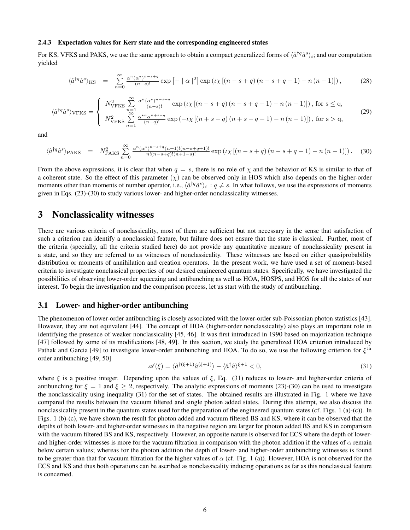#### 2.4.3 Expectation values for Kerr state and the corresponding engineered states

For KS, VFKS and PAKS, we use the same approach to obtain a compact generalized forms of  $\langle \hat{a}^{\dagger q} \hat{a}^s \rangle_i$ ; and our computation yielded

$$
\langle \hat{a}^{\dagger q} \hat{a}^{s} \rangle_{\text{KS}} = \sum_{n=0}^{\infty} \frac{\alpha^{n} (\alpha^{*})^{n-s+q}}{(n-s)!} \exp \left[ - \mid \alpha \mid^{2} \right] \exp \left( \iota \chi \left[ (n-s+q)(n-s+q-1) - n(n-1) \right] \right), \tag{28}
$$

$$
\langle \hat{a}^{\dagger q} \hat{a}^{s} \rangle_{\text{VFKS}} = \begin{cases} N_{\text{VFKS}}^{2} \sum_{n=1}^{\infty} \frac{\alpha^{n} (\alpha^{*})^{n-s+q}}{(n-s)!} \exp\left(\iota \chi \left[ (n-s+q) \left( n-s+q-1 \right) - n \left( n-1 \right) \right] \right), \text{ for } s \leq q, \\ N_{\text{VFKS}}^{2} \sum_{n=1}^{\infty} \frac{\alpha^{*n} \alpha^{n+s-q}}{(n-q)!} \exp\left(-\iota \chi \left[ (n+s-q) \left( n+s-q-1 \right) - n \left( n-1 \right) \right] \right), \text{ for } s > q, \end{cases}
$$
(29)

and

$$
\langle \hat{a}^{\dagger q} \hat{a}^{s} \rangle_{\text{PAKS}} = N_{\text{PAKS}}^{2} \sum_{n=0}^{\infty} \frac{\alpha^{n} (\alpha^{*})^{n-s+q} (n+1)! (n-s+q+1)!}{n! (n-s+q)! (n+1-s)!} \exp \left( \iota \chi \left[ (n-s+q) (n-s+q-1) - n (n-1) \right] \right). \tag{30}
$$

From the above expressions, it is clear that when  $q = s$ , there is no role of  $\chi$  and the behavior of KS is similar to that of a coherent state. So the effect of this parameter  $(\chi)$  can be observed only in HOS which also depends on the higher-order moments other than moments of number operator, i.e.,  $\langle \hat{a}^{\dagger q} \hat{a}^s \rangle_i : q \neq s$ . In what follows, we use the expressions of moments given in Eqs. (23)-(30) to study various lower- and higher-order nonclassicality witnesses.

# 3 Nonclassicality witnesses

There are various criteria of nonclassicality, most of them are sufficient but not necessary in the sense that satisfaction of such a criterion can identify a nonclassical feature, but failure does not ensure that the state is classical. Further, most of the criteria (specially, all the criteria studied here) do not provide any quantitative measure of nonclassicality present in a state, and so they are referred to as witnesses of nonclassicality. These witnesses are based on either quasiprobability distribution or moments of annihilation and creation operators. In the present work, we have used a set of moment-based criteria to investigate nonclassical properties of our desired engineered quantum states. Specifically, we have investigated the possibilities of observing lower-order squeezing and antibunching as well as HOA, HOSPS, and HOS for all the states of our interest. To begin the investigation and the comparison process, let us start with the study of antibunching.

### 3.1 Lower- and higher-order antibunching

The phenomenon of lower-order antibunching is closely associated with the lower-order sub-Poissonian photon statistics [43]. However, they are not equivalent [44]. The concept of HOA (higher-order nonclassicality) also plays an important role in identifying the presence of weaker nonclassicality [45, 46]. It was first introduced in 1990 based on majorization technique [47] followed by some of its modifications [48, 49]. In this section, we study the generalized HOA criterion introduced by Pathak and Garcia [49] to investigate lower-order antibunching and HOA. To do so, we use the following criterion for  $\xi^{th}$ order antibunching [49, 50]

$$
\mathscr{A}(\xi) = \langle \hat{a}^{\dagger(\xi+1)} \hat{a}^{(\xi+1)} \rangle - \langle \hat{a}^{\dagger} \hat{a} \rangle^{\xi+1} < 0,\tag{31}
$$

where  $\xi$  is a positive integer. Depending upon the values of  $\xi$ , Eq. (31) reduces to lower- and higher-order criteria of antibunching for  $\xi = 1$  and  $\xi \ge 2$ , respectively. The analytic expressions of moments (23)-(30) can be used to investigate the nonclassicality using inequality (31) for the set of states. The obtained results are illustrated in Fig. 1 where we have compared the results between the vacuum filtered and single photon added states. During this attempt, we also discuss the nonclassicality present in the quantum states used for the preparation of the engineered quantum states (cf. Figs. 1 (a)-(c)). In Figs. 1 (b)-(c), we have shown the result for photon added and vacuum filtered BS and KS, where it can be observed that the depths of both lower- and higher-order witnesses in the negative region are larger for photon added BS and KS in comparison with the vacuum filtered BS and KS, respectively. However, an opposite nature is observed for ECS where the depth of lowerand higher-order witnesses is more for the vacuum filtration in comparison with the photon addition if the values of  $\alpha$  remain below certain values; whereas for the photon addition the depth of lower- and higher-order antibunching witnesses is found to be greater than that for vacuum filtration for the higher values of  $\alpha$  (cf. Fig. 1 (a)). However, HOA is not observed for the ECS and KS and thus both operations can be ascribed as nonclassicality inducing operations as far as this nonclassical feature is concerned.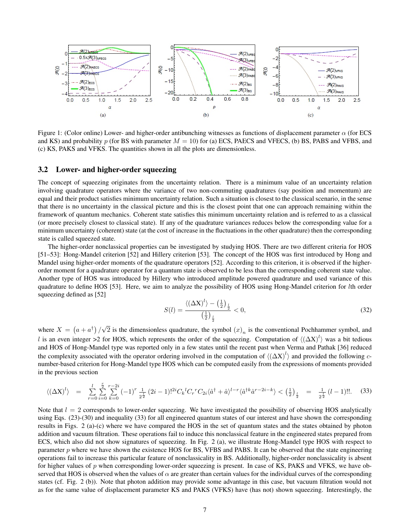

Figure 1: (Color online) Lower- and higher-order antibunching witnesses as functions of displacement parameter  $\alpha$  (for ECS and KS) and probability p (for BS with parameter  $M = 10$ ) for (a) ECS, PAECS and VFECS, (b) BS, PABS and VFBS, and (c) KS, PAKS and VFKS. The quantities shown in all the plots are dimensionless.

### 3.2 Lower- and higher-order squeezing

The concept of squeezing originates from the uncertainty relation. There is a minimum value of an uncertainty relation involving quadrature operators where the variance of two non-commuting quadratures (say position and momentum) are equal and their product satisfies minimum uncertainty relation. Such a situation is closest to the classical scenario, in the sense that there is no uncertainty in the classical picture and this is the closest point that one can approach remaining within the framework of quantum mechanics. Coherent state satisfies this minimum uncertainty relation and is referred to as a classical (or more precisely closest to classical state). If any of the quadrature variances reduces below the corresponding value for a minimum uncertainty (coherent) state (at the cost of increase in the fluctuations in the other quadrature) then the corresponding state is called squeezed state.

The higher-order nonclassical properties can be investigated by studying HOS. There are two different criteria for HOS [51–53]: Hong-Mandel criterion [52] and Hillery criterion [53]. The concept of the HOS was first introduced by Hong and Mandel using higher-order moments of the quadrature operators [52]. According to this criterion, it is observed if the higherorder moment for a quadrature operator for a quantum state is observed to be less than the corresponding coherent state value. Another type of HOS was introduced by Hillery who introduced amplitude powered quadrature and used variance of this quadrature to define HOS [53]. Here, we aim to analyze the possibility of HOS using Hong-Mandel criterion for lth order squeezing defined as [52]

$$
S(l) = \frac{\langle (\Delta X)^l \rangle - \left(\frac{1}{2}\right)_{\frac{l}{2}}}{\left(\frac{1}{2}\right)_{\frac{l}{2}}} < 0,\tag{32}
$$

where  $X = (a + a^{\dagger}) / \sqrt{2}$  is the dimensionless quadrature, the symbol  $(x)_n$  is the conventional Pochhammer symbol, and l is an even integer >2 for HOS, which represents the order of the squeezing. Computation of  $\langle (\Delta X)^l \rangle$  was a bit tedious and HOS of Hong-Mandel type was reported only in a few states until the recent past when Verma and Pathak [36] reduced the complexity associated with the operator ordering involved in the computation of  $\langle (\Delta X)^l \rangle$  and provided the following cnumber-based criterion for Hong-Mandel type HOS which can be computed easily from the expressions of moments provided in the previous section

$$
\langle (\Delta X)^l \rangle = \sum_{r=0}^l \sum_{i=0}^{\frac{r}{2}} \sum_{k=0}^{r-2i} (-1)^r \frac{1}{2^{\frac{1}{2}}} (2i-1)!^{2i} C_k{}^l C_r{}^r C_{2i} \langle \hat{a}^\dagger + \hat{a} \rangle^{l-r} \langle \hat{a}^{\dagger k} \hat{a}^{r-2i-k} \rangle < \left(\frac{1}{2}\right)_{\frac{l}{2}} = \frac{1}{2^{\frac{1}{2}}} (l-1)!!. \tag{33}
$$

Note that  $l = 2$  corresponds to lower-order squeezing. We have investigated the possibility of observing HOS analytically using Eqs. (23)-(30) and inequality (33) for all engineered quantum states of our interest and have shown the corresponding results in Figs. 2 (a)-(c) where we have compared the HOS in the set of quantum states and the states obtained by photon addition and vacuum filtration. These operations fail to induce this nonclassical feature in the engineered states prepared from ECS, which also did not show signatures of squeezing. In Fig. 2 (a), we illustrate Hong-Mandel type HOS with respect to parameter  $p$  where we have shown the existence HOS for BS, VFBS and PABS. It can be observed that the state engineering operations fail to increase this particular feature of nonclassicality in BS. Additionally, higher-order nonclassicality is absent for higher values of p when corresponding lower-order squeezing is present. In case of KS, PAKS and VFKS, we have observed that HOS is observed when the values of  $\alpha$  are greater than certain values for the individual curves of the corresponding states (cf. Fig. 2 (b)). Note that photon addition may provide some advantage in this case, but vacuum filtration would not as for the same value of displacement parameter KS and PAKS (VFKS) have (has not) shown squeezing. Interestingly, the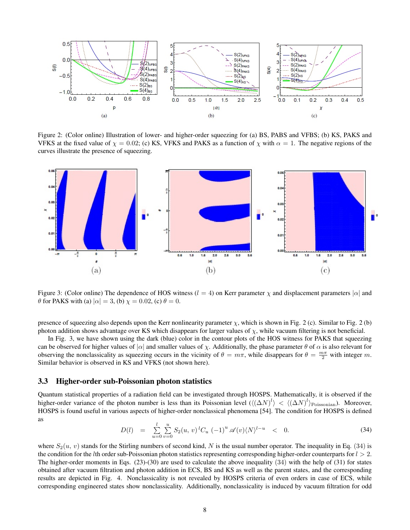

Figure 2: (Color online) Illustration of lower- and higher-order squeezing for (a) BS, PABS and VFBS; (b) KS, PAKS and VFKS at the fixed value of  $\chi = 0.02$ ; (c) KS, VFKS and PAKS as a function of  $\chi$  with  $\alpha = 1$ . The negative regions of the curves illustrate the presence of squeezing.



Figure 3: (Color online) The dependence of HOS witness ( $l = 4$ ) on Kerr parameter  $\chi$  and displacement parameters  $|\alpha|$  and  $\theta$  for PAKS with (a)  $|\alpha| = 3$ , (b)  $\chi = 0.02$ , (c)  $\theta = 0$ .

presence of squeezing also depends upon the Kerr nonlinearity parameter  $\chi$ , which is shown in Fig. 2 (c). Similar to Fig. 2 (b) photon addition shows advantage over KS which disappears for larger values of  $\chi$ , while vacuum filtering is not beneficial.

In Fig. 3, we have shown using the dark (blue) color in the contour plots of the HOS witness for PAKS that squeezing can be observed for higher values of  $|\alpha|$  and smaller values of x. Additionally, the phase parameter  $\theta$  of  $\alpha$  is also relevant for observing the nonclassicality as squeezing occurs in the vicinity of  $\theta = m\pi$ , while disappears for  $\theta = \frac{m\pi}{2}$  with integer m. Similar behavior is observed in KS and VFKS (not shown here).

#### 3.3 Higher-order sub-Poissonian photon statistics

Quantum statistical properties of a radiation field can be investigated through HOSPS. Mathematically, it is observed if the higher-order variance of the photon number is less than its Poissonian level  $(\langle (\Delta N)^l \rangle < (\langle \Delta N)^l \rangle$ Poissonian). Moreover, HOSPS is found useful in various aspects of higher-order nonclassical phenomena [54]. The condition for HOSPS is defined as

$$
D(l) = \sum_{u=0}^{l} \sum_{v=0}^{u} S_2(u, v)^{l} C_u (-1)^u \mathscr{A}(v) \langle N \rangle^{l-u} < 0.
$$
 (34)

where  $S_2(u, v)$  stands for the Stirling numbers of second kind, N is the usual number operator. The inequality in Eq. (34) is the condition for the lth order sub-Poissonian photon statistics representing corresponding higher-order counterparts for  $l > 2$ . The higher-order moments in Eqs.  $(23)-(30)$  are used to calculate the above inequality  $(34)$  with the help of  $(31)$  for states obtained after vacuum filtration and photon addition in ECS, BS and KS as well as the parent states, and the corresponding results are depicted in Fig. 4. Nonclassicality is not revealed by HOSPS criteria of even orders in case of ECS, while corresponding engineered states show nonclassicality. Additionally, nonclassicality is induced by vacuum filtration for odd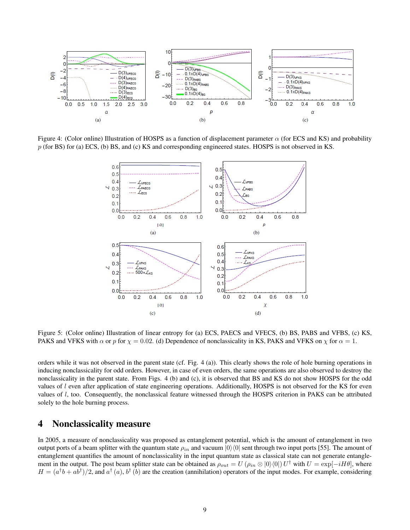

Figure 4: (Color online) Illustration of HOSPS as a function of displacement parameter  $\alpha$  (for ECS and KS) and probability  $p$  (for BS) for (a) ECS, (b) BS, and (c) KS and corresponding engineered states. HOSPS is not observed in KS.



Figure 5: (Color online) Illustration of linear entropy for (a) ECS, PAECS and VFECS, (b) BS, PABS and VFBS, (c) KS, PAKS and VFKS with  $\alpha$  or p for  $\chi = 0.02$ . (d) Dependence of nonclassicality in KS, PAKS and VFKS on  $\chi$  for  $\alpha = 1$ .

orders while it was not observed in the parent state (cf. Fig. 4 (a)). This clearly shows the role of hole burning operations in inducing nonclassicality for odd orders. However, in case of even orders, the same operations are also observed to destroy the nonclassicality in the parent state. From Figs. 4 (b) and (c), it is observed that BS and KS do not show HOSPS for the odd values of  $l$  even after application of state engineering operations. Additionally, HOSPS is not observed for the KS for even values of l, too. Consequently, the nonclassical feature witnessed through the HOSPS criterion in PAKS can be attributed solely to the hole burning process.

# 4 Nonclassicality measure

In 2005, a measure of nonclassicality was proposed as entanglement potential, which is the amount of entanglement in two output ports of a beam splitter with the quantum state  $\rho_{in}$  and vacuum  $|0\rangle\langle0|$  sent through two input ports [55]. The amount of entanglement quantifies the amount of nonclassicality in the input quantum state as classical state can not generate entanglement in the output. The post beam splitter state can be obtained as  $\rho_{out} = U(\rho_{in} \otimes |0\rangle\langle 0|)U^{\dagger}$  with  $U = \exp[-iH\theta]$ , where  $H = (a^{\dagger}b + ab^{\dagger})/2$ , and  $a^{\dagger}(a)$ ,  $b^{\dagger}(b)$  are the creation (annihilation) operators of the input modes. For example, considering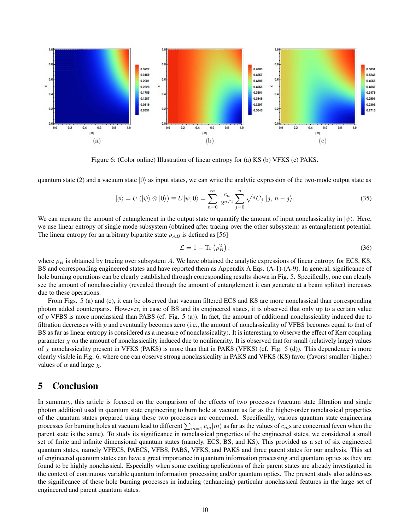

Figure 6: (Color online) Illustration of linear entropy for (a) KS (b) VFKS (c) PAKS.

quantum state (2) and a vacuum state  $|0\rangle$  as input states, we can write the analytic expression of the two-mode output state as

$$
|\phi\rangle = U(|\psi\rangle \otimes |0\rangle) \equiv U|\psi,0\rangle = \sum_{n=0}^{\infty} \frac{c_n}{2^{n/2}} \sum_{j=0}^{n} \sqrt{{}^nC_j} |j,n-j\rangle.
$$
 (35)

We can measure the amount of entanglement in the output state to quantify the amount of input nonclassicality in  $|\psi\rangle$ . Here, we use linear entropy of single mode subsystem (obtained after tracing over the other subsystem) as entanglement potential. The linear entropy for an arbitrary bipartite state  $\rho_{AB}$  is defined as [56]

$$
\mathcal{L} = 1 - \text{Tr}\left(\rho_B^2\right),\tag{36}
$$

where  $\rho_B$  is obtained by tracing over subsystem A. We have obtained the analytic expressions of linear entropy for ECS, KS, BS and corresponding engineered states and have reported them as Appendix A Eqs. (A-1)-(A-9). In general, significance of hole burning operations can be clearly established through corresponding results shown in Fig. 5. Specifically, one can clearly see the amount of nonclassciality (revealed through the amount of entanglement it can generate at a beam splitter) increases due to these operations.

From Figs. 5 (a) and (c), it can be observed that vacuum filtered ECS and KS are more nonclassical than corresponding photon added counterparts. However, in case of BS and its engineered states, it is observed that only up to a certain value of p VFBS is more nonclassical than PABS (cf. Fig. 5 (a)). In fact, the amount of additional nonclassicality induced due to filtration decreases with  $p$  and eventually becomes zero (i.e., the amount of nonclassicality of VFBS becomes equal to that of BS as far as linear entropy is considered as a measure of nonclassicality). It is interesting to observe the effect of Kerr coupling parameter  $\gamma$  on the amount of nonclassicality induced due to nonlinearity. It is observed that for small (relatively large) values of  $\chi$  nonclassicality present in VFKS (PAKS) is more than that in PAKS (VFKS) (cf. Fig. 5 (d)). This dependence is more clearly visible in Fig. 6, where one can observe strong nonclassicality in PAKS and VFKS (KS) favor (favors) smaller (higher) values of  $\alpha$  and large  $\chi$ .

# 5 Conclusion

In summary, this article is focused on the comparison of the effects of two processes (vacuum state filtration and single photon addition) used in quantum state engineering to burn hole at vacuum as far as the higher-order nonclassical properties of the quantum states prepared using these two processes are concerned. Specifically, various quantum state engineering processes for burning holes at vacuum lead to different  $\sum_{m=1} c_m |m\rangle$  as far as the values of  $c_m$ s are concerned (even when the parent state is the same). To study its significance in nonclassical properties of the engineered states, we considered a small set of finite and infinite dimensional quantum states (namely, ECS, BS, and KS). This provided us a set of six engineered quantum states, namely VFECS, PAECS, VFBS, PABS, VFKS, and PAKS and three parent states for our analysis. This set of engineered quantum states can have a great importance in quantum information processing and quantum optics as they are found to be highly nonclassical. Especially when some exciting applications of their parent states are already investigated in the context of continuous variable quantum information processing and/or quantum optics. The present study also addresses the significance of these hole burning processes in inducing (enhancing) particular nonclassical features in the large set of engineered and parent quantum states.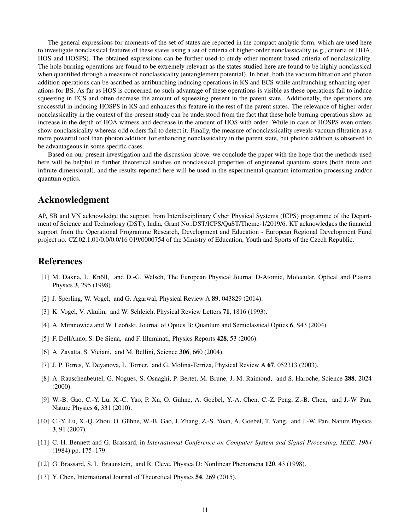The general expressions for moments of the set of states are reported in the compact analytic form, which are used here to investigate nonclassical features of these states using a set of criteria of higher-order nonclassicality (e.g., criteria of HOA, HOS and HOSPS). The obtained expressions can be further used to study other moment-based criteria of nonclassicality. The hole burning operations are found to be extremely relevant as the states studied here are found to be highly nonclassical when quantified through a measure of nonclassicality (entanglement potential). In brief, both the vacuum filtration and photon addition operations can be ascribed as antibunching inducing operations in KS and ECS while antibunching enhancing operations for BS. As far as HOS is concerned no such advantage of these operations is visible as these operations fail to induce squeezing in ECS and often decrease the amount of squeezing present in the parent state. Additionally, the operations are successful in inducing HOSPS in KS and enhances this feature in the rest of the parent states. The relevance of higher-order nonclassicality in the context of the present study can be understood from the fact that these hole burning operations show an increase in the depth of HOA witness and decrease in the amount of HOS with order. While in case of HOSPS even orders show nonclassicality whereas odd orders fail to detect it. Finally, the measure of nonclassicality reveals vacuum filtration as a more powerful tool than photon addition for enhancing nonclassicality in the parent state, but photon addition is observed to be advantageous in some specific cases.

Based on our present investigation and the discussion above, we conclude the paper with the hope that the methods used here will be helpful in further theoretical studies on nonclassical properties of engineered quantum states (both finite and infinite dimensional), and the results reported here will be used in the experimental quantum information processing and/or quantum optics.

# Acknowledgment

AP, SB and VN acknowledge the support from Interdisciplinary Cyber Physical Systems (ICPS) programme of the Department of Science and Technology (DST), India, Grant No.:DST/ICPS/QuST/Theme-1/2019/6. KT acknowledges the financial support from the Operational Programme Research, Development and Education - European Regional Development Fund project no. CZ.02.1.01/0.0/0.0/16 019/0000754 of the Ministry of Education, Youth and Sports of the Czech Republic.

# References

- [1] M. Dakna, L. Knöll, and D.-G. Welsch, The European Physical Journal D-Atomic, Molecular, Optical and Plasma Physics 3, 295 (1998).
- [2] J. Sperling, W. Vogel, and G. Agarwal, Physical Review A 89, 043829 (2014).
- [3] K. Vogel, V. Akulin, and W. Schleich, Physical Review Letters 71, 1816 (1993).
- [4] A. Miranowicz and W. Leonski, Journal of Optics B: Quantum and Semiclassical Optics 6, S43 (2004).
- [5] F. DellAnno, S. De Siena, and F. Illuminati, Physics Reports 428, 53 (2006).
- [6] A. Zavatta, S. Viciani, and M. Bellini, Science 306, 660 (2004).
- [7] J. P. Torres, Y. Deyanova, L. Torner, and G. Molina-Terriza, Physical Review A 67, 052313 (2003).
- [8] A. Rauschenbeutel, G. Nogues, S. Osnaghi, P. Bertet, M. Brune, J.-M. Raimond, and S. Haroche, Science 288, 2024 (2000).
- [9] W.-B. Gao, C.-Y. Lu, X.-C. Yao, P. Xu, O. Gühne, A. Goebel, Y.-A. Chen, C.-Z. Peng, Z.-B. Chen, and J.-W. Pan, Nature Physics 6, 331 (2010).
- [10] C.-Y. Lu, X.-Q. Zhou, O. Gühne, W.-B. Gao, J. Zhang, Z.-S. Yuan, A. Goebel, T. Yang, and J.-W. Pan, Nature Physics 3, 91 (2007).
- [11] C. H. Bennett and G. Brassard, in *International Conference on Computer System and Signal Processing, IEEE, 1984* (1984) pp. 175–179.
- [12] G. Brassard, S. L. Braunstein, and R. Cleve, Physica D: Nonlinear Phenomena 120, 43 (1998).
- [13] Y. Chen, International Journal of Theoretical Physics 54, 269 (2015).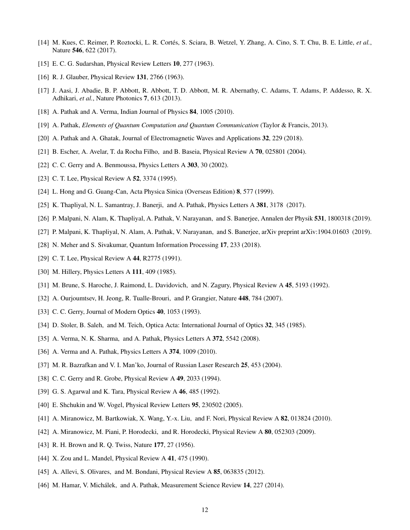- [14] M. Kues, C. Reimer, P. Roztocki, L. R. Cortés, S. Sciara, B. Wetzel, Y. Zhang, A. Cino, S. T. Chu, B. E. Little, *et al.*, Nature 546, 622 (2017).
- [15] E. C. G. Sudarshan, Physical Review Letters 10, 277 (1963).
- [16] R. J. Glauber, Physical Review 131, 2766 (1963).
- [17] J. Aasi, J. Abadie, B. P. Abbott, R. Abbott, T. D. Abbott, M. R. Abernathy, C. Adams, T. Adams, P. Addesso, R. X. Adhikari, *et al.*, Nature Photonics 7, 613 (2013).
- [18] A. Pathak and A. Verma, Indian Journal of Physics **84**, 1005 (2010).
- [19] A. Pathak, *Elements of Quantum Computation and Quantum Communication* (Taylor & Francis, 2013).
- [20] A. Pathak and A. Ghatak, Journal of Electromagnetic Waves and Applications 32, 229 (2018).
- [21] B. Escher, A. Avelar, T. da Rocha Filho, and B. Baseia, Physical Review A 70, 025801 (2004).
- [22] C. C. Gerry and A. Benmoussa, Physics Letters A 303, 30 (2002).
- [23] C. T. Lee, Physical Review A **52**, 3374 (1995).
- [24] L. Hong and G. Guang-Can, Acta Physica Sinica (Overseas Edition) 8, 577 (1999).
- [25] K. Thapliyal, N. L. Samantray, J. Banerji, and A. Pathak, Physics Letters A 381, 3178 (2017).
- [26] P. Malpani, N. Alam, K. Thapliyal, A. Pathak, V. Narayanan, and S. Banerjee, Annalen der Physik 531, 1800318 (2019).
- [27] P. Malpani, K. Thapliyal, N. Alam, A. Pathak, V. Narayanan, and S. Banerjee, arXiv preprint arXiv:1904.01603 (2019).
- [28] N. Meher and S. Sivakumar, Quantum Information Processing 17, 233 (2018).
- [29] C. T. Lee, Physical Review A 44, R2775 (1991).
- [30] M. Hillery, Physics Letters A 111, 409 (1985).
- [31] M. Brune, S. Haroche, J. Raimond, L. Davidovich, and N. Zagury, Physical Review A 45, 5193 (1992).
- [32] A. Ourjoumtsev, H. Jeong, R. Tualle-Brouri, and P. Grangier, Nature 448, 784 (2007).
- [33] C. C. Gerry, Journal of Modern Optics **40**, 1053 (1993).
- [34] D. Stoler, B. Saleh, and M. Teich, Optica Acta: International Journal of Optics 32, 345 (1985).
- [35] A. Verma, N. K. Sharma, and A. Pathak, Physics Letters A 372, 5542 (2008).
- [36] A. Verma and A. Pathak, Physics Letters A 374, 1009 (2010).
- [37] M. R. Bazrafkan and V. I. Man'ko, Journal of Russian Laser Research 25, 453 (2004).
- [38] C. C. Gerry and R. Grobe, Physical Review A 49, 2033 (1994).
- [39] G. S. Agarwal and K. Tara, Physical Review A 46, 485 (1992).
- [40] E. Shchukin and W. Vogel, Physical Review Letters 95, 230502 (2005).
- [41] A. Miranowicz, M. Bartkowiak, X. Wang, Y.-x. Liu, and F. Nori, Physical Review A 82, 013824 (2010).
- [42] A. Miranowicz, M. Piani, P. Horodecki, and R. Horodecki, Physical Review A 80, 052303 (2009).
- [43] R. H. Brown and R. Q. Twiss, Nature 177, 27 (1956).
- [44] X. Zou and L. Mandel, Physical Review A 41, 475 (1990).
- [45] A. Allevi, S. Olivares, and M. Bondani, Physical Review A 85, 063835 (2012).
- [46] M. Hamar, V. Michálek, and A. Pathak, Measurement Science Review 14, 227 (2014).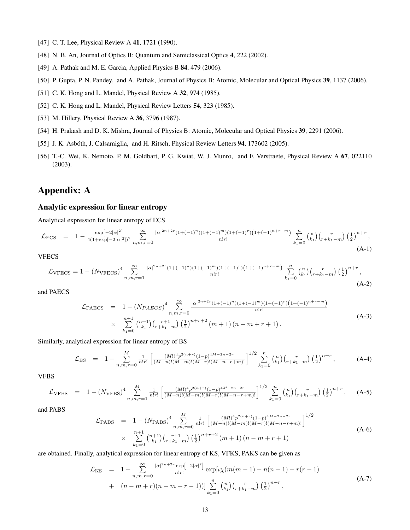- [47] C. T. Lee, Physical Review A 41, 1721 (1990).
- [48] N. B. An, Journal of Optics B: Quantum and Semiclassical Optics 4, 222 (2002).
- [49] A. Pathak and M. E. Garcia, Applied Physics B **84**, 479 (2006).
- [50] P. Gupta, P. N. Pandey, and A. Pathak, Journal of Physics B: Atomic, Molecular and Optical Physics 39, 1137 (2006).
- [51] C. K. Hong and L. Mandel, Physical Review A 32, 974 (1985).
- [52] C. K. Hong and L. Mandel, Physical Review Letters **54**, 323 (1985).
- [53] M. Hillery, Physical Review A 36, 3796 (1987).
- [54] H. Prakash and D. K. Mishra, Journal of Physics B: Atomic, Molecular and Optical Physics 39, 2291 (2006).
- [55] J. K. Asbóth, J. Calsamiglia, and H. Ritsch, Physical Review Letters 94, 173602 (2005).
- [56] T.-C. Wei, K. Nemoto, P. M. Goldbart, P. G. Kwiat, W. J. Munro, and F. Verstraete, Physical Review A 67, 022110 (2003).

# Appendix: A

### Analytic expression for linear entropy

Analytical expression for linear entropy of ECS

$$
\mathcal{L}_{\text{ECS}} = 1 - \frac{\exp[-2|\alpha|^2]}{4(1+\exp[-2|\alpha|^2])^2} \sum_{n,m,r=0}^{\infty} \frac{|\alpha|^{2n+2r}(1+(-1)^n)(1+(-1)^m)(1+(-1)^r)\left(1+(-1)^{n+r-m}\right)}{n!r!} \sum_{k_1=0}^n \binom{n}{k_1} \binom{r}{r+k_1-m} \left(\frac{1}{2}\right)^{n+r},\tag{A-1}
$$

#### **VFECS**

$$
\mathcal{L}_{\text{VFECS}} = 1 - \left(N_{\text{VFECS}}\right)^4 \sum_{n,m,r=1}^{\infty} \frac{|\alpha|^{2n+2r} (1+(-1)^n)(1+(-1)^m)(1+(-1)^r)\left(1+(-1)^{n+r-m}\right)}{n!r!} \sum_{k_1=0}^n \binom{n}{k_1} \binom{r}{r+k_1-m} \left(\frac{1}{2}\right)^{n+r},\tag{A-2}
$$

and PAECS

$$
\mathcal{L}_{\text{PAECS}} = 1 - (N_{PAECS})^4 \sum_{n,m,r=0}^{\infty} \frac{|\alpha|^{2n+2r} (1+(-1)^n)(1+(-1)^m)(1+(-1)^r)\left(1+(-1)^{n+r-m}\right)}{n!r!}
$$
\n
$$
\times \sum_{k_1=0}^{n+1} \binom{n+1}{k_1} \binom{r+1}{r+k_1-m} \left(\frac{1}{2}\right)^{n+r+2} (m+1)(n-m+r+1).
$$
\n(A-3)

Similarly, analytical expression for linear entropy of BS

$$
\mathcal{L}_{\rm{BS}} = 1 - \sum_{n,m,r=0}^{M} \frac{1}{n!r!} \left[ \frac{(M!)^4 p^{2(n+r)} (1-p)^{4M-2n-2r}}{(M-n)!(M-r)!(M-r)!(M-n-r+m)!} \right]^{1/2} \sum_{k_1=0}^{n} {n \choose k_1} {r \choose r+k_1-m} \left(\frac{1}{2}\right)^{n+r}, \tag{A-4}
$$

VFBS

$$
\mathcal{L}_{\text{VFBS}} = 1 - (N_{\text{VFBS}})^4 \sum_{n,m,r=1}^{M} \frac{1}{n!r!} \left[ \frac{(M!)^4 p^{2(n+r)} (1-p)^{4M-2n-2r}}{(M-n)!(M-m)!(M-r)!(M-n-r+m)!} \right]^{1/2} \sum_{k_1=0}^{n} {n \choose k_1} {r \choose r+k_1-m} \left(\frac{1}{2}\right)^{n+r}, \quad (A-5)
$$

and PABS

$$
\mathcal{L}_{\text{PABS}} = 1 - (N_{\text{PABS}})^4 \sum_{n,m,r=0}^{M} \frac{1}{n!r!} \left[ \frac{(M!)^4 p^{2(n+r)} (1-p)^{4M-2n-2r}}{(M-n)!(M-r)!(M-r+1)} \right]^{1/2}
$$
\n
$$
\times \sum_{k_1=0}^{n+1} {n+1 \choose k_1} {r+1 \choose r+k_1-m} \left(\frac{1}{2}\right)^{n+r+2} (m+1) (n-m+r+1)
$$
\n(A-6)

are obtained. Finally, analytical expression for linear entropy of KS, VFKS, PAKS can be given as

$$
\mathcal{L}_{KS} = 1 - \sum_{n,m,r=0}^{\infty} \frac{|\alpha|^{2n+2r} \exp[-2|\alpha|^2]}{n!r!} \exp[\iota \chi(m(m-1) - n(n-1) - r(r-1) + (n-m+r)(n-m+r-1))] \sum_{k_1=0}^{n} {n \choose k_1} {r \choose r+k_1-m} \left(\frac{1}{2}\right)^{n+r}, \tag{A-7}
$$